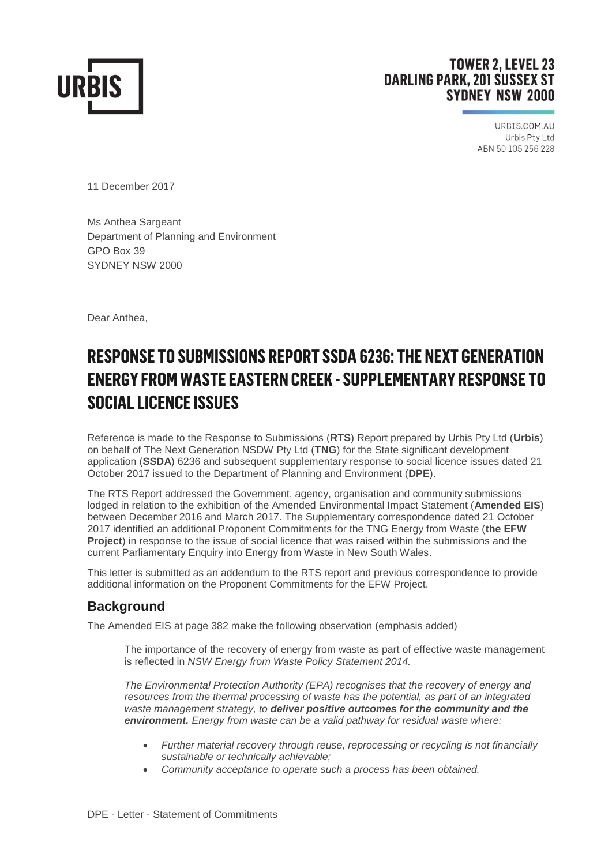

## **TOWER 2. LEVEL 23 DARLING PARK, 201 SUSSEX ST SYDNEY NSW 2000**

URBIS.COM.AU Urbis Pty Ltd ABN 50 105 256 228

11 December 2017

Ms Anthea Sargeant Department of Planning and Environment GPO Box 39 SYDNEY NSW 2000

Dear Anthea,

## **RESPONSE TO SUBMISSIONS REPORT SSDA 6236: THE NEXT GENERATION ENERGY FROM WASTE EASTERN CREEK - SUPPLEMENTARY RESPONSE TO SOCIAL LICENCE ISSUES**

Reference is made to the Response to Submissions (**RTS**) Report prepared by Urbis Pty Ltd (**Urbis**) on behalf of The Next Generation NSDW Pty Ltd (**TNG**) for the State significant development application (**SSDA**) 6236 and subsequent supplementary response to social licence issues dated 21 October 2017 issued to the Department of Planning and Environment (**DPE**).

The RTS Report addressed the Government, agency, organisation and community submissions lodged in relation to the exhibition of the Amended Environmental Impact Statement (**Amended EIS**) between December 2016 and March 2017. The Supplementary correspondence dated 21 October 2017 identified an additional Proponent Commitments for the TNG Energy from Waste (**the EFW Project**) in response to the issue of social licence that was raised within the submissions and the current Parliamentary Enquiry into Energy from Waste in New South Wales.

This letter is submitted as an addendum to the RTS report and previous correspondence to provide additional information on the Proponent Commitments for the EFW Project.

## **Background**

The Amended EIS at page 382 make the following observation (emphasis added)

The importance of the recovery of energy from waste as part of effective waste management is reflected in *NSW Energy from Waste Policy Statement 2014.*

*The Environmental Protection Authority (EPA) recognises that the recovery of energy and resources from the thermal processing of waste has the potential, as part of an integrated waste management strategy, to deliver positive outcomes for the community and the environment. Energy from waste can be a valid pathway for residual waste where:*

- *Further material recovery through reuse, reprocessing or recycling is not financially sustainable or technically achievable;*
- *Community acceptance to operate such a process has been obtained.*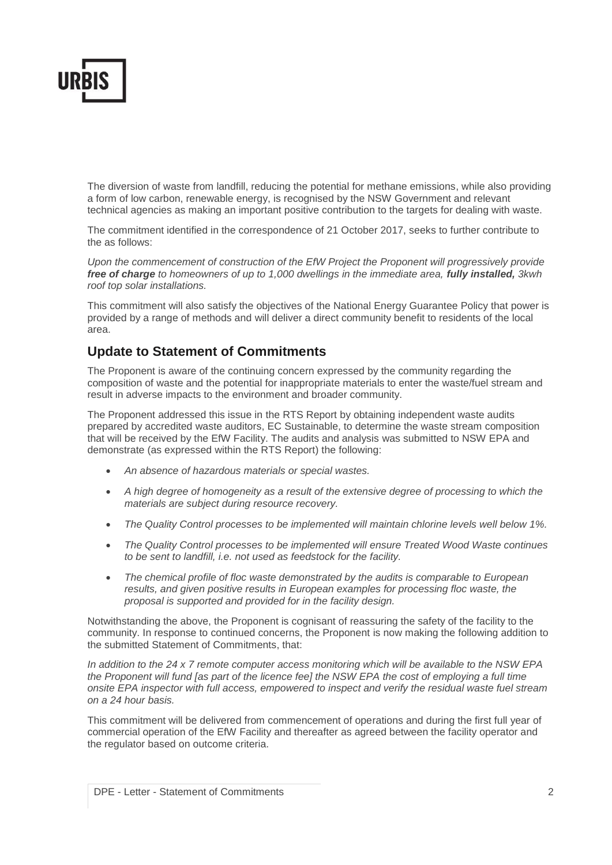

The diversion of waste from landfill, reducing the potential for methane emissions, while also providing a form of low carbon, renewable energy, is recognised by the NSW Government and relevant technical agencies as making an important positive contribution to the targets for dealing with waste.

The commitment identified in the correspondence of 21 October 2017, seeks to further contribute to the as follows:

*Upon the commencement of construction of the EfW Project the Proponent will progressively provide free of charge to homeowners of up to 1,000 dwellings in the immediate area, fully installed, 3kwh roof top solar installations.*

This commitment will also satisfy the objectives of the National Energy Guarantee Policy that power is provided by a range of methods and will deliver a direct community benefit to residents of the local area.

## **Update to Statement of Commitments**

The Proponent is aware of the continuing concern expressed by the community regarding the composition of waste and the potential for inappropriate materials to enter the waste/fuel stream and result in adverse impacts to the environment and broader community.

The Proponent addressed this issue in the RTS Report by obtaining independent waste audits prepared by accredited waste auditors, EC Sustainable, to determine the waste stream composition that will be received by the EfW Facility. The audits and analysis was submitted to NSW EPA and demonstrate (as expressed within the RTS Report) the following:

- *An absence of hazardous materials or special wastes.*
- *A high degree of homogeneity as a result of the extensive degree of processing to which the materials are subject during resource recovery.*
- *The Quality Control processes to be implemented will maintain chlorine levels well below 1%.*
- *The Quality Control processes to be implemented will ensure Treated Wood Waste continues to be sent to landfill, i.e. not used as feedstock for the facility.*
- *The chemical profile of floc waste demonstrated by the audits is comparable to European results, and given positive results in European examples for processing floc waste, the proposal is supported and provided for in the facility design.*

Notwithstanding the above, the Proponent is cognisant of reassuring the safety of the facility to the community. In response to continued concerns, the Proponent is now making the following addition to the submitted Statement of Commitments, that:

*In addition to the 24 x 7 remote computer access monitoring which will be available to the NSW EPA the Proponent will fund [as part of the licence fee] the NSW EPA the cost of employing a full time onsite EPA inspector with full access, empowered to inspect and verify the residual waste fuel stream on a 24 hour basis.*

This commitment will be delivered from commencement of operations and during the first full year of commercial operation of the EfW Facility and thereafter as agreed between the facility operator and the regulator based on outcome criteria.